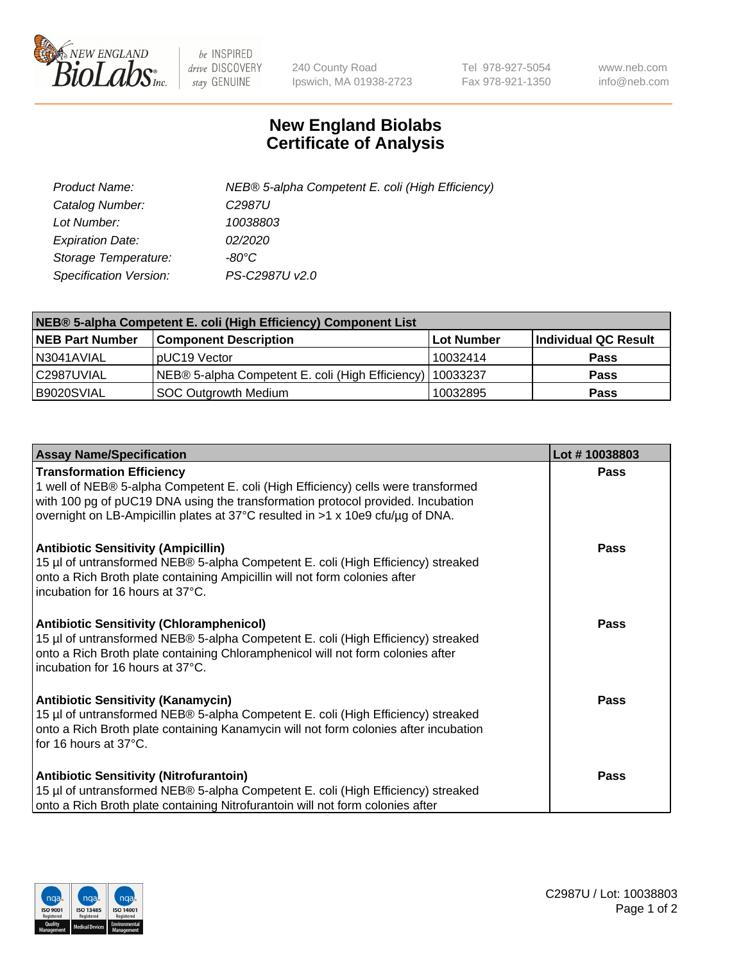

 $be$  INSPIRED drive DISCOVERY stay GENUINE

240 County Road Ipswich, MA 01938-2723 Tel 978-927-5054 Fax 978-921-1350 www.neb.com info@neb.com

## **New England Biolabs Certificate of Analysis**

| Product Name:                 | NEB® 5-alpha Competent E. coli (High Efficiency) |
|-------------------------------|--------------------------------------------------|
| Catalog Number:               | C <sub>2987</sub> U                              |
| Lot Number:                   | 10038803                                         |
| <b>Expiration Date:</b>       | <i>02/2020</i>                                   |
| Storage Temperature:          | -80°C                                            |
| <b>Specification Version:</b> | PS-C2987U v2.0                                   |

| NEB® 5-alpha Competent E. coli (High Efficiency) Component List |                                                             |                   |                      |  |
|-----------------------------------------------------------------|-------------------------------------------------------------|-------------------|----------------------|--|
| <b>NEB Part Number</b>                                          | <b>Component Description</b>                                | <b>Lot Number</b> | Individual QC Result |  |
| N3041AVIAL                                                      | pUC19 Vector                                                | 10032414          | <b>Pass</b>          |  |
| C2987UVIAL                                                      | NEB® 5-alpha Competent E. coli (High Efficiency)   10033237 |                   | <b>Pass</b>          |  |
| B9020SVIAL                                                      | SOC Outgrowth Medium                                        | 10032895          | <b>Pass</b>          |  |

| <b>Assay Name/Specification</b>                                                                                                                                                                                                                                                            | Lot #10038803 |
|--------------------------------------------------------------------------------------------------------------------------------------------------------------------------------------------------------------------------------------------------------------------------------------------|---------------|
| <b>Transformation Efficiency</b><br>1 well of NEB® 5-alpha Competent E. coli (High Efficiency) cells were transformed<br>with 100 pg of pUC19 DNA using the transformation protocol provided. Incubation<br>overnight on LB-Ampicillin plates at 37°C resulted in >1 x 10e9 cfu/µg of DNA. | Pass          |
| <b>Antibiotic Sensitivity (Ampicillin)</b><br>15 µl of untransformed NEB® 5-alpha Competent E. coli (High Efficiency) streaked<br>onto a Rich Broth plate containing Ampicillin will not form colonies after<br>incubation for 16 hours at 37°C.                                           | Pass          |
| <b>Antibiotic Sensitivity (Chloramphenicol)</b><br>15 µl of untransformed NEB® 5-alpha Competent E. coli (High Efficiency) streaked<br>onto a Rich Broth plate containing Chloramphenicol will not form colonies after<br>incubation for 16 hours at 37°C.                                 | Pass          |
| <b>Antibiotic Sensitivity (Kanamycin)</b><br>15 µl of untransformed NEB® 5-alpha Competent E. coli (High Efficiency) streaked<br>onto a Rich Broth plate containing Kanamycin will not form colonies after incubation<br>for 16 hours at 37°C.                                             | <b>Pass</b>   |
| <b>Antibiotic Sensitivity (Nitrofurantoin)</b><br>15 µl of untransformed NEB® 5-alpha Competent E. coli (High Efficiency) streaked<br>onto a Rich Broth plate containing Nitrofurantoin will not form colonies after                                                                       | Pass          |